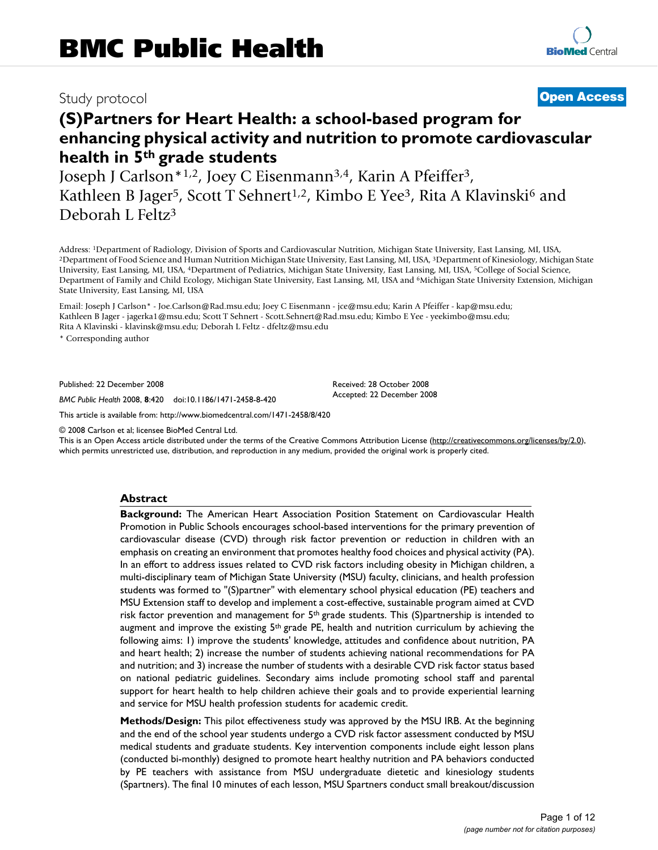# Study protocol **[Open Access](http://www.biomedcentral.com/info/about/charter/)**

# **(S)Partners for Heart Health: a school-based program for enhancing physical activity and nutrition to promote cardiovascular health in 5th grade students**

Joseph J Carlson\*1,2, Joey C Eisenmann3,4, Karin A Pfeiffer3, Kathleen B Jager<sup>5</sup>, Scott T Sehnert<sup>1,2</sup>, Kimbo E Yee<sup>3</sup>, Rita A Klavinski<sup>6</sup> and Deborah L Feltz3

Address: <sup>1</sup>Department of Radiology, Division of Sports and Cardiovascular Nutrition, Michigan State University, East Lansing, MI, USA,<br><sup>2</sup>Department of Food Science and Human Nutrition Michigan State University, East Lans University, East Lansing, MI, USA, 4Department of Pediatrics, Michigan State University, East Lansing, MI, USA, 5College of Social Science, Department of Family and Child Ecology, Michigan State University, East Lansing, MI, USA and 6Michigan State University Extension, Michigan State University, East Lansing, MI, USA

Email: Joseph J Carlson\* - Joe.Carlson@Rad.msu.edu; Joey C Eisenmann - jce@msu.edu; Karin A Pfeiffer - kap@msu.edu; Kathleen B Jager - jagerka1@msu.edu; Scott T Sehnert - Scott.Sehnert@Rad.msu.edu; Kimbo E Yee - yeekimbo@msu.edu; Rita A Klavinski - klavinsk@msu.edu; Deborah L Feltz - dfeltz@msu.edu

\* Corresponding author

Published: 22 December 2008

*BMC Public Health* 2008, **8**:420 doi:10.1186/1471-2458-8-420

[This article is available from: http://www.biomedcentral.com/1471-2458/8/420](http://www.biomedcentral.com/1471-2458/8/420)

© 2008 Carlson et al; licensee BioMed Central Ltd.

This is an Open Access article distributed under the terms of the Creative Commons Attribution License [\(http://creativecommons.org/licenses/by/2.0\)](http://creativecommons.org/licenses/by/2.0), which permits unrestricted use, distribution, and reproduction in any medium, provided the original work is properly cited.

Received: 28 October 2008 Accepted: 22 December 2008

#### **Abstract**

**Background:** The American Heart Association Position Statement on Cardiovascular Health Promotion in Public Schools encourages school-based interventions for the primary prevention of cardiovascular disease (CVD) through risk factor prevention or reduction in children with an emphasis on creating an environment that promotes healthy food choices and physical activity (PA). In an effort to address issues related to CVD risk factors including obesity in Michigan children, a multi-disciplinary team of Michigan State University (MSU) faculty, clinicians, and health profession students was formed to "(S)partner" with elementary school physical education (PE) teachers and MSU Extension staff to develop and implement a cost-effective, sustainable program aimed at CVD risk factor prevention and management for  $5<sup>th</sup>$  grade students. This (S)partnership is intended to augment and improve the existing  $5<sup>th</sup>$  grade PE, health and nutrition curriculum by achieving the following aims: 1) improve the students' knowledge, attitudes and confidence about nutrition, PA and heart health; 2) increase the number of students achieving national recommendations for PA and nutrition; and 3) increase the number of students with a desirable CVD risk factor status based on national pediatric guidelines. Secondary aims include promoting school staff and parental support for heart health to help children achieve their goals and to provide experiential learning and service for MSU health profession students for academic credit.

**Methods/Design:** This pilot effectiveness study was approved by the MSU IRB. At the beginning and the end of the school year students undergo a CVD risk factor assessment conducted by MSU medical students and graduate students. Key intervention components include eight lesson plans (conducted bi-monthly) designed to promote heart healthy nutrition and PA behaviors conducted by PE teachers with assistance from MSU undergraduate dietetic and kinesiology students (Spartners). The final 10 minutes of each lesson, MSU Spartners conduct small breakout/discussion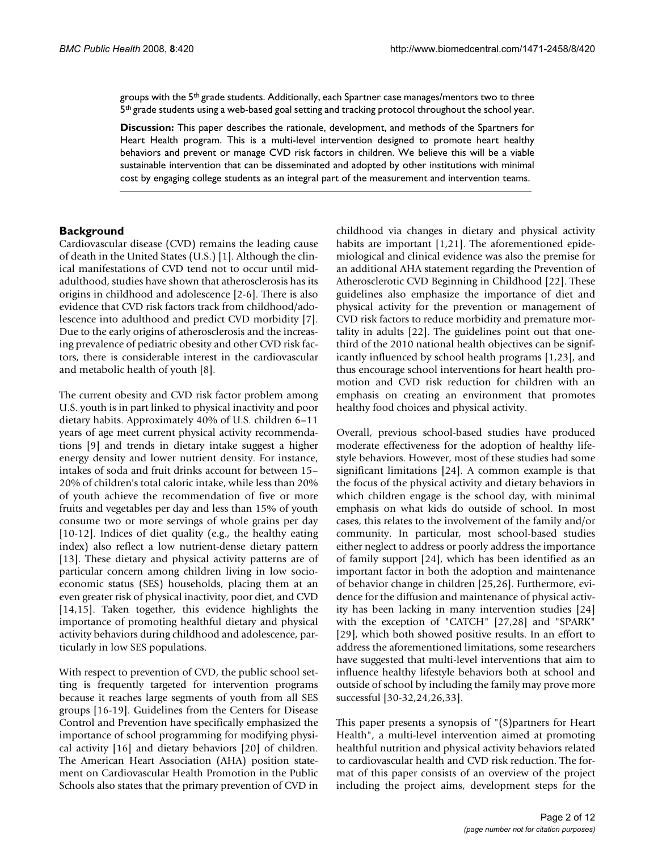groups with the 5<sup>th</sup> grade students. Additionally, each Spartner case manages/mentors two to three 5<sup>th</sup> grade students using a web-based goal setting and tracking protocol throughout the school year.

**Discussion:** This paper describes the rationale, development, and methods of the Spartners for Heart Health program. This is a multi-level intervention designed to promote heart healthy behaviors and prevent or manage CVD risk factors in children. We believe this will be a viable sustainable intervention that can be disseminated and adopted by other institutions with minimal cost by engaging college students as an integral part of the measurement and intervention teams.

# **Background**

Cardiovascular disease (CVD) remains the leading cause of death in the United States (U.S.) [1]. Although the clinical manifestations of CVD tend not to occur until midadulthood, studies have shown that atherosclerosis has its origins in childhood and adolescence [2-6]. There is also evidence that CVD risk factors track from childhood/adolescence into adulthood and predict CVD morbidity [7]. Due to the early origins of atherosclerosis and the increasing prevalence of pediatric obesity and other CVD risk factors, there is considerable interest in the cardiovascular and metabolic health of youth [8].

The current obesity and CVD risk factor problem among U.S. youth is in part linked to physical inactivity and poor dietary habits. Approximately 40% of U.S. children 6–11 years of age meet current physical activity recommendations [9] and trends in dietary intake suggest a higher energy density and lower nutrient density. For instance, intakes of soda and fruit drinks account for between 15– 20% of children's total caloric intake, while less than 20% of youth achieve the recommendation of five or more fruits and vegetables per day and less than 15% of youth consume two or more servings of whole grains per day [10-12]. Indices of diet quality (e.g., the healthy eating index) also reflect a low nutrient-dense dietary pattern [13]. These dietary and physical activity patterns are of particular concern among children living in low socioeconomic status (SES) households, placing them at an even greater risk of physical inactivity, poor diet, and CVD [14,15]. Taken together, this evidence highlights the importance of promoting healthful dietary and physical activity behaviors during childhood and adolescence, particularly in low SES populations.

With respect to prevention of CVD, the public school setting is frequently targeted for intervention programs because it reaches large segments of youth from all SES groups [16-19]. Guidelines from the Centers for Disease Control and Prevention have specifically emphasized the importance of school programming for modifying physical activity [16] and dietary behaviors [20] of children. The American Heart Association (AHA) position statement on Cardiovascular Health Promotion in the Public Schools also states that the primary prevention of CVD in

childhood via changes in dietary and physical activity habits are important [1,21]. The aforementioned epidemiological and clinical evidence was also the premise for an additional AHA statement regarding the Prevention of Atherosclerotic CVD Beginning in Childhood [22]. These guidelines also emphasize the importance of diet and physical activity for the prevention or management of CVD risk factors to reduce morbidity and premature mortality in adults [22]. The guidelines point out that onethird of the 2010 national health objectives can be significantly influenced by school health programs [1,23], and thus encourage school interventions for heart health promotion and CVD risk reduction for children with an emphasis on creating an environment that promotes healthy food choices and physical activity.

Overall, previous school-based studies have produced moderate effectiveness for the adoption of healthy lifestyle behaviors. However, most of these studies had some significant limitations [24]. A common example is that the focus of the physical activity and dietary behaviors in which children engage is the school day, with minimal emphasis on what kids do outside of school. In most cases, this relates to the involvement of the family and/or community. In particular, most school-based studies either neglect to address or poorly address the importance of family support [24], which has been identified as an important factor in both the adoption and maintenance of behavior change in children [25,26]. Furthermore, evidence for the diffusion and maintenance of physical activity has been lacking in many intervention studies [24] with the exception of "CATCH" [27,28] and "SPARK" [29], which both showed positive results. In an effort to address the aforementioned limitations, some researchers have suggested that multi-level interventions that aim to influence healthy lifestyle behaviors both at school and outside of school by including the family may prove more successful [30-32,24,26,33].

This paper presents a synopsis of "(S)partners for Heart Health", a multi-level intervention aimed at promoting healthful nutrition and physical activity behaviors related to cardiovascular health and CVD risk reduction. The format of this paper consists of an overview of the project including the project aims, development steps for the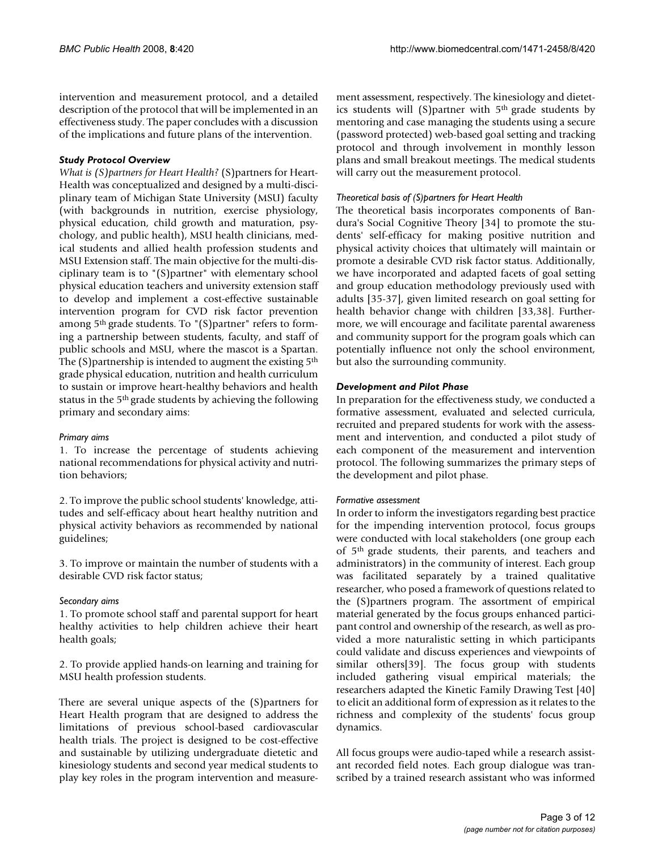intervention and measurement protocol, and a detailed description of the protocol that will be implemented in an effectiveness study. The paper concludes with a discussion of the implications and future plans of the intervention.

#### *Study Protocol Overview*

*What is (S)partners for Heart Health?* (S)partners for Heart-Health was conceptualized and designed by a multi-disciplinary team of Michigan State University (MSU) faculty (with backgrounds in nutrition, exercise physiology, physical education, child growth and maturation, psychology, and public health), MSU health clinicians, medical students and allied health profession students and MSU Extension staff. The main objective for the multi-disciplinary team is to "(S)partner" with elementary school physical education teachers and university extension staff to develop and implement a cost-effective sustainable intervention program for CVD risk factor prevention among 5th grade students. To "(S)partner" refers to forming a partnership between students, faculty, and staff of public schools and MSU, where the mascot is a Spartan. The  $(S)$  partnership is intended to augment the existing  $5<sup>th</sup>$ grade physical education, nutrition and health curriculum to sustain or improve heart-healthy behaviors and health status in the 5th grade students by achieving the following primary and secondary aims:

# *Primary aims*

1. To increase the percentage of students achieving national recommendations for physical activity and nutrition behaviors;

2. To improve the public school students' knowledge, attitudes and self-efficacy about heart healthy nutrition and physical activity behaviors as recommended by national guidelines;

3. To improve or maintain the number of students with a desirable CVD risk factor status;

# *Secondary aims*

1. To promote school staff and parental support for heart healthy activities to help children achieve their heart health goals;

2. To provide applied hands-on learning and training for MSU health profession students.

There are several unique aspects of the (S)partners for Heart Health program that are designed to address the limitations of previous school-based cardiovascular health trials. The project is designed to be cost-effective and sustainable by utilizing undergraduate dietetic and kinesiology students and second year medical students to play key roles in the program intervention and measurement assessment, respectively. The kinesiology and dietetics students will (S) partner with  $5<sup>th</sup>$  grade students by mentoring and case managing the students using a secure (password protected) web-based goal setting and tracking protocol and through involvement in monthly lesson plans and small breakout meetings. The medical students will carry out the measurement protocol.

# *Theoretical basis of (S)partners for Heart Health*

The theoretical basis incorporates components of Bandura's Social Cognitive Theory [34] to promote the students' self-efficacy for making positive nutrition and physical activity choices that ultimately will maintain or promote a desirable CVD risk factor status. Additionally, we have incorporated and adapted facets of goal setting and group education methodology previously used with adults [35-37], given limited research on goal setting for health behavior change with children [33,38]. Furthermore, we will encourage and facilitate parental awareness and community support for the program goals which can potentially influence not only the school environment, but also the surrounding community.

#### *Development and Pilot Phase*

In preparation for the effectiveness study, we conducted a formative assessment, evaluated and selected curricula, recruited and prepared students for work with the assessment and intervention, and conducted a pilot study of each component of the measurement and intervention protocol. The following summarizes the primary steps of the development and pilot phase.

#### *Formative assessment*

In order to inform the investigators regarding best practice for the impending intervention protocol, focus groups were conducted with local stakeholders (one group each of 5th grade students, their parents, and teachers and administrators) in the community of interest. Each group was facilitated separately by a trained qualitative researcher, who posed a framework of questions related to the (S)partners program. The assortment of empirical material generated by the focus groups enhanced participant control and ownership of the research, as well as provided a more naturalistic setting in which participants could validate and discuss experiences and viewpoints of similar others[39]. The focus group with students included gathering visual empirical materials; the researchers adapted the Kinetic Family Drawing Test [40] to elicit an additional form of expression as it relates to the richness and complexity of the students' focus group dynamics.

All focus groups were audio-taped while a research assistant recorded field notes. Each group dialogue was transcribed by a trained research assistant who was informed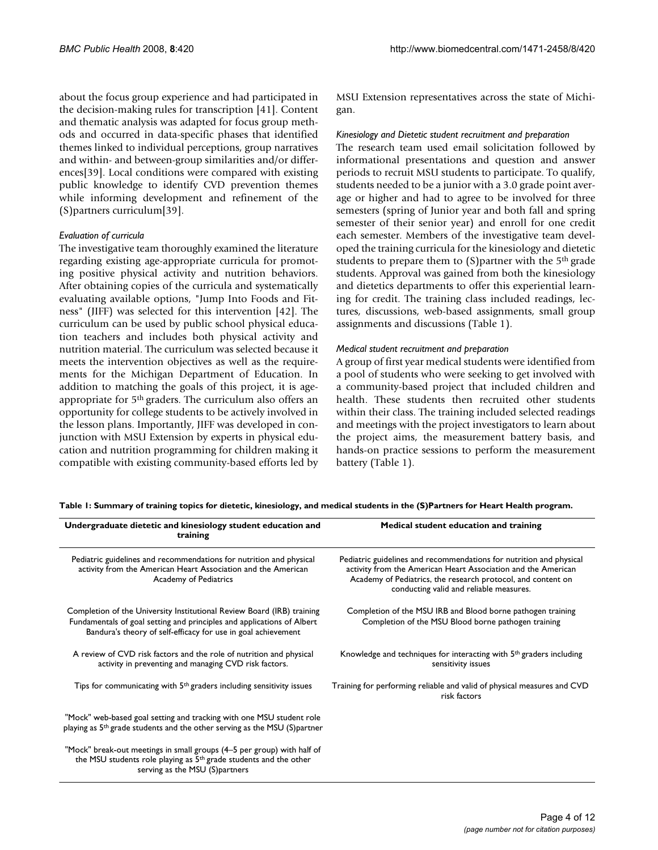about the focus group experience and had participated in the decision-making rules for transcription [41]. Content and thematic analysis was adapted for focus group methods and occurred in data-specific phases that identified themes linked to individual perceptions, group narratives and within- and between-group similarities and/or differences[39]. Local conditions were compared with existing public knowledge to identify CVD prevention themes while informing development and refinement of the (S)partners curriculum[39].

#### *Evaluation of curricula*

The investigative team thoroughly examined the literature regarding existing age-appropriate curricula for promoting positive physical activity and nutrition behaviors. After obtaining copies of the curricula and systematically evaluating available options, "Jump Into Foods and Fitness" (JIFF) was selected for this intervention [42]. The curriculum can be used by public school physical education teachers and includes both physical activity and nutrition material. The curriculum was selected because it meets the intervention objectives as well as the requirements for the Michigan Department of Education. In addition to matching the goals of this project, it is ageappropriate for 5<sup>th</sup> graders. The curriculum also offers an opportunity for college students to be actively involved in the lesson plans. Importantly, JIFF was developed in conjunction with MSU Extension by experts in physical education and nutrition programming for children making it compatible with existing community-based efforts led by MSU Extension representatives across the state of Michigan.

#### *Kinesiology and Dietetic student recruitment and preparation*

The research team used email solicitation followed by informational presentations and question and answer periods to recruit MSU students to participate. To qualify, students needed to be a junior with a 3.0 grade point average or higher and had to agree to be involved for three semesters (spring of Junior year and both fall and spring semester of their senior year) and enroll for one credit each semester. Members of the investigative team developed the training curricula for the kinesiology and dietetic students to prepare them to  $(S)$  partner with the 5<sup>th</sup> grade students. Approval was gained from both the kinesiology and dietetics departments to offer this experiential learning for credit. The training class included readings, lectures, discussions, web-based assignments, small group assignments and discussions (Table 1).

#### *Medical student recruitment and preparation*

A group of first year medical students were identified from a pool of students who were seeking to get involved with a community-based project that included children and health. These students then recruited other students within their class. The training included selected readings and meetings with the project investigators to learn about the project aims, the measurement battery basis, and hands-on practice sessions to perform the measurement battery (Table 1).

**Table 1: Summary of training topics for dietetic, kinesiology, and medical students in the (S)Partners for Heart Health program.**

| Undergraduate dietetic and kinesiology student education and<br>training                                                                                                                                          | Medical student education and training                                                                                                                                                                                                          |
|-------------------------------------------------------------------------------------------------------------------------------------------------------------------------------------------------------------------|-------------------------------------------------------------------------------------------------------------------------------------------------------------------------------------------------------------------------------------------------|
| Pediatric guidelines and recommendations for nutrition and physical<br>activity from the American Heart Association and the American<br>Academy of Pediatrics                                                     | Pediatric guidelines and recommendations for nutrition and physical<br>activity from the American Heart Association and the American<br>Academy of Pediatrics, the research protocol, and content on<br>conducting valid and reliable measures. |
| Completion of the University Institutional Review Board (IRB) training<br>Fundamentals of goal setting and principles and applications of Albert<br>Bandura's theory of self-efficacy for use in goal achievement | Completion of the MSU IRB and Blood borne pathogen training<br>Completion of the MSU Blood borne pathogen training                                                                                                                              |
| A review of CVD risk factors and the role of nutrition and physical<br>activity in preventing and managing CVD risk factors.                                                                                      | Knowledge and techniques for interacting with $5th$ graders including<br>sensitivity issues                                                                                                                                                     |
| Tips for communicating with 5 <sup>th</sup> graders including sensitivity issues                                                                                                                                  | Training for performing reliable and valid of physical measures and CVD<br>risk factors                                                                                                                                                         |
| "Mock" web-based goal setting and tracking with one MSU student role<br>playing as 5 <sup>th</sup> grade students and the other serving as the MSU (S) partner                                                    |                                                                                                                                                                                                                                                 |
| "Mock" break-out meetings in small groups (4-5 per group) with half of<br>the MSU students role playing as 5 <sup>th</sup> grade students and the other<br>serving as the MSU (S) partners                        |                                                                                                                                                                                                                                                 |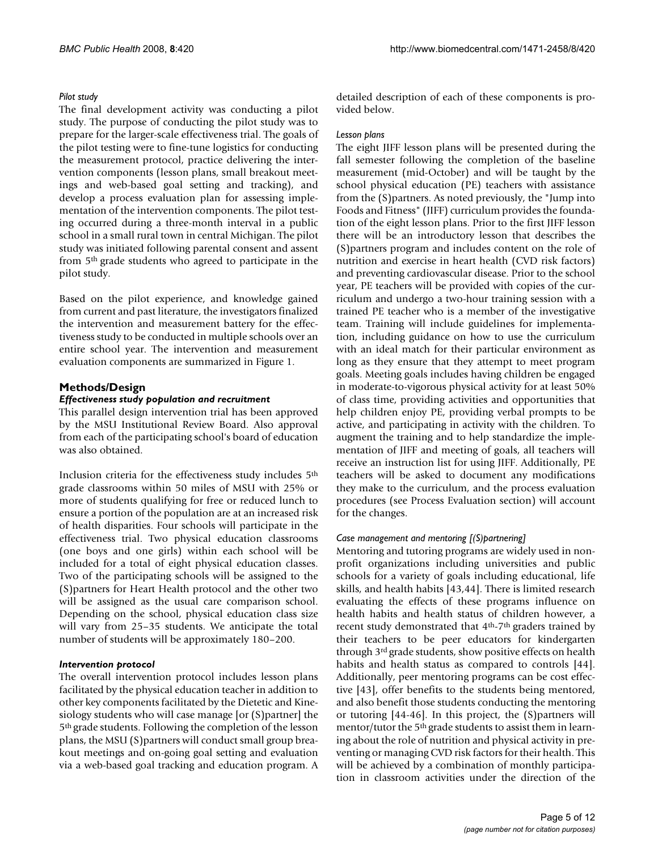#### *Pilot study*

The final development activity was conducting a pilot study. The purpose of conducting the pilot study was to prepare for the larger-scale effectiveness trial. The goals of the pilot testing were to fine-tune logistics for conducting the measurement protocol, practice delivering the intervention components (lesson plans, small breakout meetings and web-based goal setting and tracking), and develop a process evaluation plan for assessing implementation of the intervention components. The pilot testing occurred during a three-month interval in a public school in a small rural town in central Michigan. The pilot study was initiated following parental consent and assent from 5th grade students who agreed to participate in the pilot study.

Based on the pilot experience, and knowledge gained from current and past literature, the investigators finalized the intervention and measurement battery for the effectiveness study to be conducted in multiple schools over an entire school year. The intervention and measurement evaluation components are summarized in Figure 1.

# **Methods/Design**

#### *Effectiveness study population and recruitment*

This parallel design intervention trial has been approved by the MSU Institutional Review Board. Also approval from each of the participating school's board of education was also obtained.

Inclusion criteria for the effectiveness study includes 5th grade classrooms within 50 miles of MSU with 25% or more of students qualifying for free or reduced lunch to ensure a portion of the population are at an increased risk of health disparities. Four schools will participate in the effectiveness trial. Two physical education classrooms (one boys and one girls) within each school will be included for a total of eight physical education classes. Two of the participating schools will be assigned to the (S)partners for Heart Health protocol and the other two will be assigned as the usual care comparison school. Depending on the school, physical education class size will vary from 25–35 students. We anticipate the total number of students will be approximately 180–200.

# *Intervention protocol*

The overall intervention protocol includes lesson plans facilitated by the physical education teacher in addition to other key components facilitated by the Dietetic and Kinesiology students who will case manage [or (S)partner] the 5th grade students. Following the completion of the lesson plans, the MSU (S)partners will conduct small group breakout meetings and on-going goal setting and evaluation via a web-based goal tracking and education program. A

detailed description of each of these components is provided below.

# *Lesson plans*

The eight JIFF lesson plans will be presented during the fall semester following the completion of the baseline measurement (mid-October) and will be taught by the school physical education (PE) teachers with assistance from the (S)partners. As noted previously, the "Jump into Foods and Fitness" (JIFF) curriculum provides the foundation of the eight lesson plans. Prior to the first JIFF lesson there will be an introductory lesson that describes the (S)partners program and includes content on the role of nutrition and exercise in heart health (CVD risk factors) and preventing cardiovascular disease. Prior to the school year, PE teachers will be provided with copies of the curriculum and undergo a two-hour training session with a trained PE teacher who is a member of the investigative team. Training will include guidelines for implementation, including guidance on how to use the curriculum with an ideal match for their particular environment as long as they ensure that they attempt to meet program goals. Meeting goals includes having children be engaged in moderate-to-vigorous physical activity for at least 50% of class time, providing activities and opportunities that help children enjoy PE, providing verbal prompts to be active, and participating in activity with the children. To augment the training and to help standardize the implementation of JIFF and meeting of goals, all teachers will receive an instruction list for using JIFF. Additionally, PE teachers will be asked to document any modifications they make to the curriculum, and the process evaluation procedures (see Process Evaluation section) will account for the changes.

# *Case management and mentoring [(S)partnering]*

Mentoring and tutoring programs are widely used in nonprofit organizations including universities and public schools for a variety of goals including educational, life skills, and health habits [43,44]. There is limited research evaluating the effects of these programs influence on health habits and health status of children however, a recent study demonstrated that 4<sup>th</sup>-7<sup>th</sup> graders trained by their teachers to be peer educators for kindergarten through 3rd grade students, show positive effects on health habits and health status as compared to controls [44]. Additionally, peer mentoring programs can be cost effective [43], offer benefits to the students being mentored, and also benefit those students conducting the mentoring or tutoring [44-46]. In this project, the (S)partners will mentor/tutor the 5<sup>th</sup> grade students to assist them in learning about the role of nutrition and physical activity in preventing or managing CVD risk factors for their health. This will be achieved by a combination of monthly participation in classroom activities under the direction of the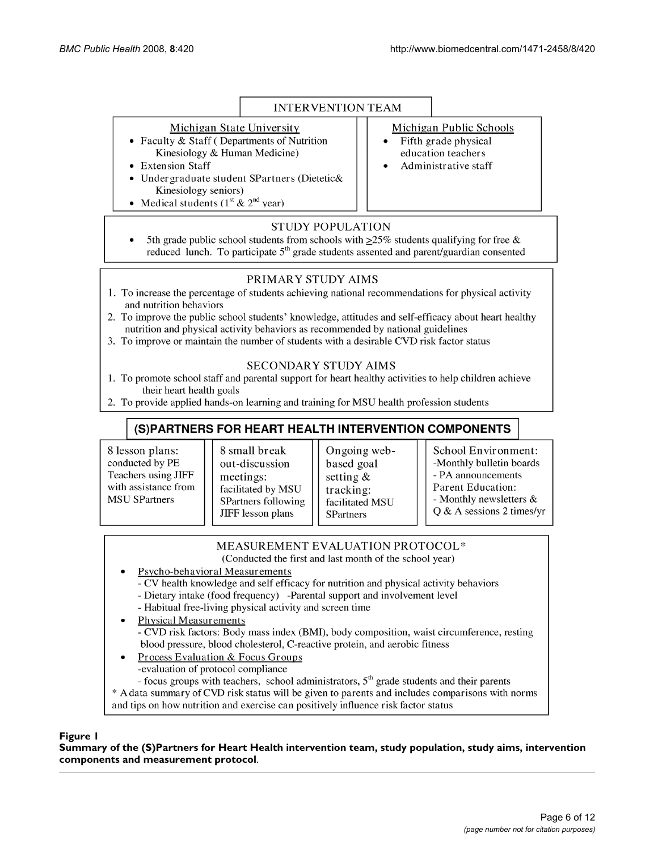# **INTERVENTION TEAM**

# Michigan State University

- Faculty & Staff (Departments of Nutrition Kinesiology & Human Medicine)
- Extension Staff
- Undergraduate student SPartners (Dietetic& Kinesiology seniors)
- Medical students  $(1<sup>st</sup> & 2<sup>nd</sup>$  year)
- Michigan Public Schools
- Fifth grade physical education teachers
- Administrative staff

# **STUDY POPULATION**

5th grade public school students from schools with  $\geq$ 25% students qualifying for free & reduced lunch. To participate  $5<sup>th</sup>$  grade students assented and parent/guardian consented

# PRIMARY STUDY AIMS

- 1. To increase the percentage of students achieving national recommendations for physical activity and nutrition behaviors
- 2. To improve the public school students' knowledge, attitudes and self-efficacy about heart healthy nutrition and physical activity behaviors as recommended by national guidelines
- 3. To improve or maintain the number of students with a desirable CVD risk factor status

# **SECONDARY STUDY AIMS**

- 1. To promote school staff and parental support for heart healthy activities to help children achieve their heart health goals
- 2. To provide applied hands-on learning and training for MSU health profession students

# (S) PARTNERS FOR HEART HEALTH INTERVENTION COMPONENTS

8 lesson plans: conducted by PE Teachers using JIFF with assistance from **MSU SPartners** 

8 small break out-discussion meetings: facilitated by MSU SPartners following JIFF lesson plans

Ongoing webbased goal setting  $&$ tracking: facilitated MSU **SPartners** 

School Environment: -Monthly bulletin boards - PA announcements **Parent Education:** - Monthly newsletters & Q & A sessions 2 times/yr

#### MEASUREMENT EVALUATION PROTOCOL\* (Conducted the first and last month of the school year)

- Psycho-behavioral Measurements
	- CV health knowledge and self efficacy for nutrition and physical activity behaviors
	- Dietary intake (food frequency) -Parental support and involvement level
	- Habitual free-living physical activity and screen time
- **Physical Measurements** - CVD risk factors: Body mass index (BMI), body composition, waist circumference, resting blood pressure, blood cholesterol, C-reactive protein, and aerobic fitness
- Process Evaluation & Focus Groups -evaluation of protocol compliance

- focus groups with teachers, school administrators, 5<sup>th</sup> grade students and their parents

\* A data summary of CVD risk status will be given to parents and includes comparisons with norms and tips on how nutrition and exercise can positively influence risk factor status

measurement protocol intervention intervention team, study population, study population, study population, study population, study population, study aims, intervention, study aims, intervention, study aims, intervention, s **Summary of the (S)Partners for Heart Health intervention team, study population, study aims, intervention components and measurement protocol**.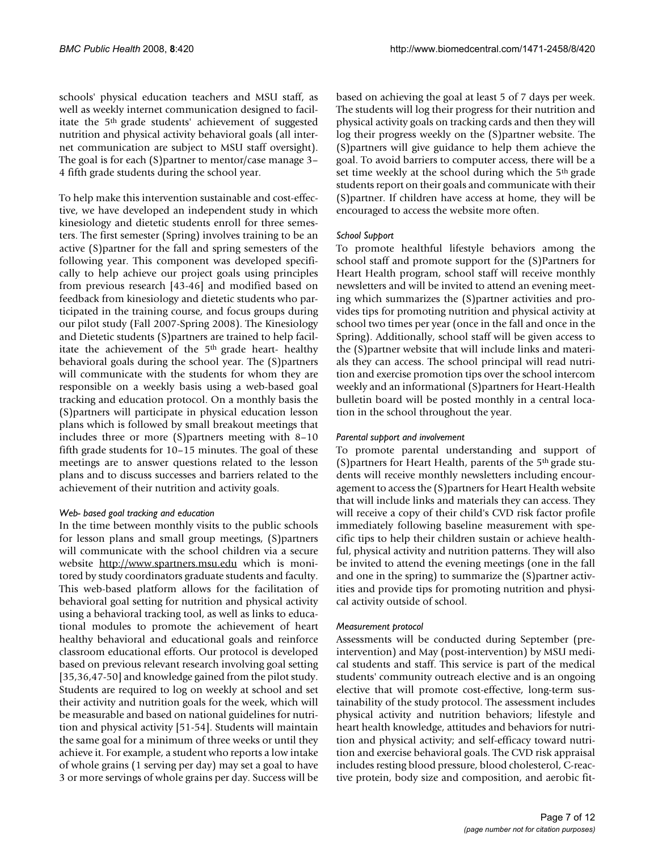schools' physical education teachers and MSU staff, as well as weekly internet communication designed to facilitate the 5th grade students' achievement of suggested nutrition and physical activity behavioral goals (all internet communication are subject to MSU staff oversight). The goal is for each (S)partner to mentor/case manage 3– 4 fifth grade students during the school year.

To help make this intervention sustainable and cost-effective, we have developed an independent study in which kinesiology and dietetic students enroll for three semesters. The first semester (Spring) involves training to be an active (S)partner for the fall and spring semesters of the following year. This component was developed specifically to help achieve our project goals using principles from previous research [43-46] and modified based on feedback from kinesiology and dietetic students who participated in the training course, and focus groups during our pilot study (Fall 2007-Spring 2008). The Kinesiology and Dietetic students (S)partners are trained to help facilitate the achievement of the 5<sup>th</sup> grade heart- healthy behavioral goals during the school year. The (S)partners will communicate with the students for whom they are responsible on a weekly basis using a web-based goal tracking and education protocol. On a monthly basis the (S)partners will participate in physical education lesson plans which is followed by small breakout meetings that includes three or more (S)partners meeting with 8–10 fifth grade students for 10–15 minutes. The goal of these meetings are to answer questions related to the lesson plans and to discuss successes and barriers related to the achievement of their nutrition and activity goals.

# *Web- based goal tracking and education*

In the time between monthly visits to the public schools for lesson plans and small group meetings, (S)partners will communicate with the school children via a secure website <http://www.spartners.msu.edu>which is monitored by study coordinators graduate students and faculty. This web-based platform allows for the facilitation of behavioral goal setting for nutrition and physical activity using a behavioral tracking tool, as well as links to educational modules to promote the achievement of heart healthy behavioral and educational goals and reinforce classroom educational efforts. Our protocol is developed based on previous relevant research involving goal setting [35,36,47-50] and knowledge gained from the pilot study. Students are required to log on weekly at school and set their activity and nutrition goals for the week, which will be measurable and based on national guidelines for nutrition and physical activity [51-54]. Students will maintain the same goal for a minimum of three weeks or until they achieve it. For example, a student who reports a low intake of whole grains (1 serving per day) may set a goal to have 3 or more servings of whole grains per day. Success will be

based on achieving the goal at least 5 of 7 days per week. The students will log their progress for their nutrition and physical activity goals on tracking cards and then they will log their progress weekly on the (S)partner website. The (S)partners will give guidance to help them achieve the goal. To avoid barriers to computer access, there will be a set time weekly at the school during which the 5<sup>th</sup> grade students report on their goals and communicate with their (S)partner. If children have access at home, they will be encouraged to access the website more often.

# *School Support*

To promote healthful lifestyle behaviors among the school staff and promote support for the (S)Partners for Heart Health program, school staff will receive monthly newsletters and will be invited to attend an evening meeting which summarizes the (S)partner activities and provides tips for promoting nutrition and physical activity at school two times per year (once in the fall and once in the Spring). Additionally, school staff will be given access to the (S)partner website that will include links and materials they can access. The school principal will read nutrition and exercise promotion tips over the school intercom weekly and an informational (S)partners for Heart-Health bulletin board will be posted monthly in a central location in the school throughout the year.

# *Parental support and involvement*

To promote parental understanding and support of (S) partners for Heart Health, parents of the 5<sup>th</sup> grade students will receive monthly newsletters including encouragement to access the (S)partners for Heart Health website that will include links and materials they can access. They will receive a copy of their child's CVD risk factor profile immediately following baseline measurement with specific tips to help their children sustain or achieve healthful, physical activity and nutrition patterns. They will also be invited to attend the evening meetings (one in the fall and one in the spring) to summarize the (S)partner activities and provide tips for promoting nutrition and physical activity outside of school.

# *Measurement protocol*

Assessments will be conducted during September (preintervention) and May (post-intervention) by MSU medical students and staff. This service is part of the medical students' community outreach elective and is an ongoing elective that will promote cost-effective, long-term sustainability of the study protocol. The assessment includes physical activity and nutrition behaviors; lifestyle and heart health knowledge, attitudes and behaviors for nutrition and physical activity; and self-efficacy toward nutrition and exercise behavioral goals. The CVD risk appraisal includes resting blood pressure, blood cholesterol, C-reactive protein, body size and composition, and aerobic fit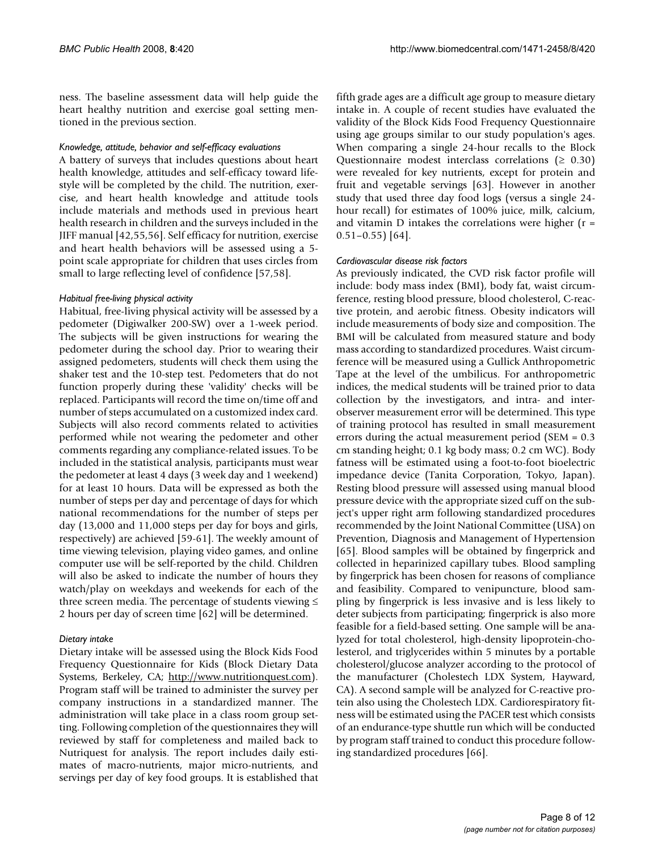ness. The baseline assessment data will help guide the heart healthy nutrition and exercise goal setting mentioned in the previous section.

#### *Knowledge, attitude, behavior and self-efficacy evaluations*

A battery of surveys that includes questions about heart health knowledge, attitudes and self-efficacy toward lifestyle will be completed by the child. The nutrition, exercise, and heart health knowledge and attitude tools include materials and methods used in previous heart health research in children and the surveys included in the JIFF manual [42,55,56]. Self efficacy for nutrition, exercise and heart health behaviors will be assessed using a 5 point scale appropriate for children that uses circles from small to large reflecting level of confidence [57,58].

# *Habitual free-living physical activity*

Habitual, free-living physical activity will be assessed by a pedometer (Digiwalker 200-SW) over a 1-week period. The subjects will be given instructions for wearing the pedometer during the school day. Prior to wearing their assigned pedometers, students will check them using the shaker test and the 10-step test. Pedometers that do not function properly during these 'validity' checks will be replaced. Participants will record the time on/time off and number of steps accumulated on a customized index card. Subjects will also record comments related to activities performed while not wearing the pedometer and other comments regarding any compliance-related issues. To be included in the statistical analysis, participants must wear the pedometer at least 4 days (3 week day and 1 weekend) for at least 10 hours. Data will be expressed as both the number of steps per day and percentage of days for which national recommendations for the number of steps per day (13,000 and 11,000 steps per day for boys and girls, respectively) are achieved [59-61]. The weekly amount of time viewing television, playing video games, and online computer use will be self-reported by the child. Children will also be asked to indicate the number of hours they watch/play on weekdays and weekends for each of the three screen media. The percentage of students viewing  $\leq$ 2 hours per day of screen time [62] will be determined.

# *Dietary intake*

Dietary intake will be assessed using the Block Kids Food Frequency Questionnaire for Kids (Block Dietary Data Systems, Berkeley, CA; [http://www.nutritionquest.com\)](http://www.nutritionquest.com). Program staff will be trained to administer the survey per company instructions in a standardized manner. The administration will take place in a class room group setting. Following completion of the questionnaires they will reviewed by staff for completeness and mailed back to Nutriquest for analysis. The report includes daily estimates of macro-nutrients, major micro-nutrients, and servings per day of key food groups. It is established that fifth grade ages are a difficult age group to measure dietary intake in. A couple of recent studies have evaluated the validity of the Block Kids Food Frequency Questionnaire using age groups similar to our study population's ages. When comparing a single 24-hour recalls to the Block Questionnaire modest interclass correlations ( $\geq 0.30$ ) were revealed for key nutrients, except for protein and fruit and vegetable servings [63]. However in another study that used three day food logs (versus a single 24 hour recall) for estimates of 100% juice, milk, calcium, and vitamin D intakes the correlations were higher  $(r =$  $0.51 - 0.55$ ) [64].

# *Cardiovascular disease risk factors*

As previously indicated, the CVD risk factor profile will include: body mass index (BMI), body fat, waist circumference, resting blood pressure, blood cholesterol, C-reactive protein, and aerobic fitness. Obesity indicators will include measurements of body size and composition. The BMI will be calculated from measured stature and body mass according to standardized procedures. Waist circumference will be measured using a Gullick Anthropometric Tape at the level of the umbilicus. For anthropometric indices, the medical students will be trained prior to data collection by the investigators, and intra- and interobserver measurement error will be determined. This type of training protocol has resulted in small measurement errors during the actual measurement period (SEM = 0.3 cm standing height; 0.1 kg body mass; 0.2 cm WC). Body fatness will be estimated using a foot-to-foot bioelectric impedance device (Tanita Corporation, Tokyo, Japan). Resting blood pressure will assessed using manual blood pressure device with the appropriate sized cuff on the subject's upper right arm following standardized procedures recommended by the Joint National Committee (USA) on Prevention, Diagnosis and Management of Hypertension [65]. Blood samples will be obtained by fingerprick and collected in heparinized capillary tubes. Blood sampling by fingerprick has been chosen for reasons of compliance and feasibility. Compared to venipuncture, blood sampling by fingerprick is less invasive and is less likely to deter subjects from participating; fingerprick is also more feasible for a field-based setting. One sample will be analyzed for total cholesterol, high-density lipoprotein-cholesterol, and triglycerides within 5 minutes by a portable cholesterol/glucose analyzer according to the protocol of the manufacturer (Cholestech LDX System, Hayward, CA). A second sample will be analyzed for C-reactive protein also using the Cholestech LDX. Cardiorespiratory fitness will be estimated using the PACER test which consists of an endurance-type shuttle run which will be conducted by program staff trained to conduct this procedure following standardized procedures [66].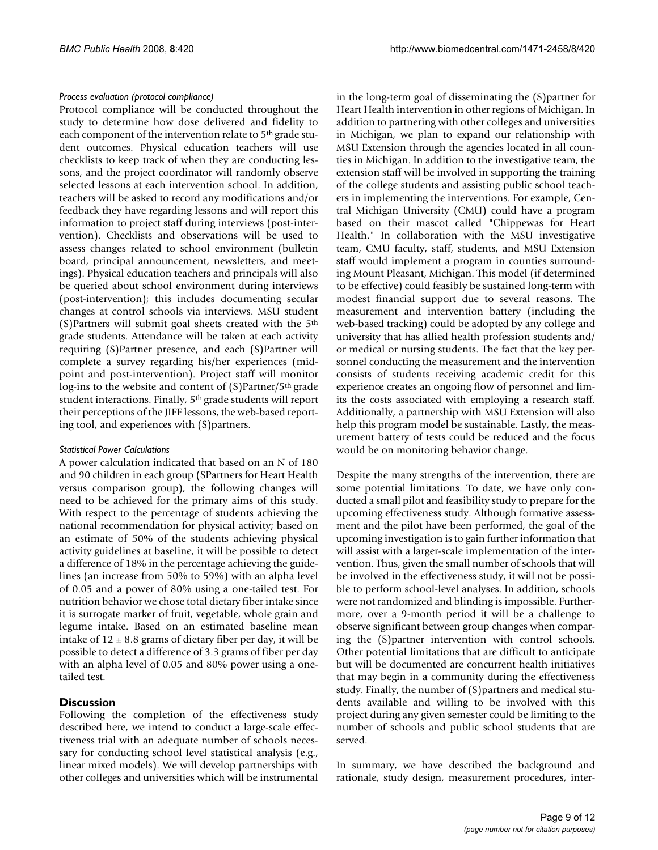#### *Process evaluation (protocol compliance)*

Protocol compliance will be conducted throughout the study to determine how dose delivered and fidelity to each component of the intervention relate to 5th grade student outcomes. Physical education teachers will use checklists to keep track of when they are conducting lessons, and the project coordinator will randomly observe selected lessons at each intervention school. In addition, teachers will be asked to record any modifications and/or feedback they have regarding lessons and will report this information to project staff during interviews (post-intervention). Checklists and observations will be used to assess changes related to school environment (bulletin board, principal announcement, newsletters, and meetings). Physical education teachers and principals will also be queried about school environment during interviews (post-intervention); this includes documenting secular changes at control schools via interviews. MSU student (S)Partners will submit goal sheets created with the 5th grade students. Attendance will be taken at each activity requiring (S)Partner presence, and each (S)Partner will complete a survey regarding his/her experiences (midpoint and post-intervention). Project staff will monitor log-ins to the website and content of (S)Partner/5<sup>th</sup> grade student interactions. Finally, 5<sup>th</sup> grade students will report their perceptions of the JIFF lessons, the web-based reporting tool, and experiences with (S)partners.

#### *Statistical Power Calculations*

A power calculation indicated that based on an N of 180 and 90 children in each group (SPartners for Heart Health versus comparison group), the following changes will need to be achieved for the primary aims of this study. With respect to the percentage of students achieving the national recommendation for physical activity; based on an estimate of 50% of the students achieving physical activity guidelines at baseline, it will be possible to detect a difference of 18% in the percentage achieving the guidelines (an increase from 50% to 59%) with an alpha level of 0.05 and a power of 80% using a one-tailed test. For nutrition behavior we chose total dietary fiber intake since it is surrogate marker of fruit, vegetable, whole grain and legume intake. Based on an estimated baseline mean intake of  $12 \pm 8.8$  grams of dietary fiber per day, it will be possible to detect a difference of 3.3 grams of fiber per day with an alpha level of 0.05 and 80% power using a onetailed test.

#### **Discussion**

Following the completion of the effectiveness study described here, we intend to conduct a large-scale effectiveness trial with an adequate number of schools necessary for conducting school level statistical analysis (e.g., linear mixed models). We will develop partnerships with other colleges and universities which will be instrumental

in the long-term goal of disseminating the (S)partner for Heart Health intervention in other regions of Michigan. In addition to partnering with other colleges and universities in Michigan, we plan to expand our relationship with MSU Extension through the agencies located in all counties in Michigan. In addition to the investigative team, the extension staff will be involved in supporting the training of the college students and assisting public school teachers in implementing the interventions. For example, Central Michigan University (CMU) could have a program based on their mascot called "Chippewas for Heart Health." In collaboration with the MSU investigative team, CMU faculty, staff, students, and MSU Extension staff would implement a program in counties surrounding Mount Pleasant, Michigan. This model (if determined to be effective) could feasibly be sustained long-term with modest financial support due to several reasons. The measurement and intervention battery (including the web-based tracking) could be adopted by any college and university that has allied health profession students and/ or medical or nursing students. The fact that the key personnel conducting the measurement and the intervention consists of students receiving academic credit for this experience creates an ongoing flow of personnel and limits the costs associated with employing a research staff. Additionally, a partnership with MSU Extension will also help this program model be sustainable. Lastly, the measurement battery of tests could be reduced and the focus would be on monitoring behavior change.

Despite the many strengths of the intervention, there are some potential limitations. To date, we have only conducted a small pilot and feasibility study to prepare for the upcoming effectiveness study. Although formative assessment and the pilot have been performed, the goal of the upcoming investigation is to gain further information that will assist with a larger-scale implementation of the intervention. Thus, given the small number of schools that will be involved in the effectiveness study, it will not be possible to perform school-level analyses. In addition, schools were not randomized and blinding is impossible. Furthermore, over a 9-month period it will be a challenge to observe significant between group changes when comparing the (S)partner intervention with control schools. Other potential limitations that are difficult to anticipate but will be documented are concurrent health initiatives that may begin in a community during the effectiveness study. Finally, the number of (S)partners and medical students available and willing to be involved with this project during any given semester could be limiting to the number of schools and public school students that are served.

In summary, we have described the background and rationale, study design, measurement procedures, inter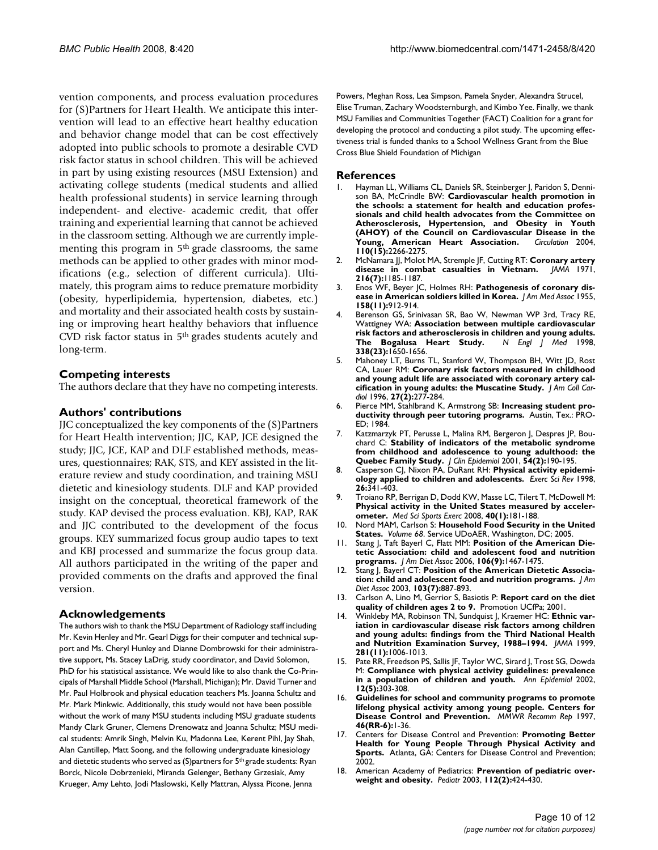vention components, and process evaluation procedures for (S)Partners for Heart Health. We anticipate this intervention will lead to an effective heart healthy education and behavior change model that can be cost effectively adopted into public schools to promote a desirable CVD risk factor status in school children. This will be achieved in part by using existing resources (MSU Extension) and activating college students (medical students and allied health professional students) in service learning through independent- and elective- academic credit, that offer training and experiential learning that cannot be achieved in the classroom setting. Although we are currently implementing this program in  $5<sup>th</sup>$  grade classrooms, the same methods can be applied to other grades with minor modifications (e.g., selection of different curricula). Ultimately, this program aims to reduce premature morbidity (obesity, hyperlipidemia, hypertension, diabetes, etc.) and mortality and their associated health costs by sustaining or improving heart healthy behaviors that influence CVD risk factor status in  $5<sup>th</sup>$  grades students acutely and long-term.

#### **Competing interests**

The authors declare that they have no competing interests.

#### **Authors' contributions**

JJC conceptualized the key components of the (S)Partners for Heart Health intervention; JJC, KAP, JCE designed the study; JJC, JCE, KAP and DLF established methods, measures, questionnaires; RAK, STS, and KEY assisted in the literature review and study coordination, and training MSU dietetic and kinesiology students. DLF and KAP provided insight on the conceptual, theoretical framework of the study. KAP devised the process evaluation. KBJ, KAP, RAK and JJC contributed to the development of the focus groups. KEY summarized focus group audio tapes to text and KBJ processed and summarize the focus group data. All authors participated in the writing of the paper and provided comments on the drafts and approved the final version.

#### **Acknowledgements**

The authors wish to thank the MSU Department of Radiology staff including Mr. Kevin Henley and Mr. Gearl Diggs for their computer and technical support and Ms. Cheryl Hunley and Dianne Dombrowski for their administrative support, Ms. Stacey LaDrig, study coordinator, and David Solomon, PhD for his statistical assistance. We would like to also thank the Co-Principals of Marshall Middle School (Marshall, Michigan); Mr. David Turner and Mr. Paul Holbrook and physical education teachers Ms. Joanna Schultz and Mr. Mark Minkwic. Additionally, this study would not have been possible without the work of many MSU students including MSU graduate students Mandy Clark Gruner, Clemens Drenowatz and Joanna Schultz; MSU medical students: Amrik Singh, Melvin Ku, Madonna Lee, Kerent Pihl, Jay Shah, Alan Cantillep, Matt Soong, and the following undergraduate kinesiology and dietetic students who served as (S)partners for 5<sup>th</sup> grade students: Ryan Borck, Nicole Dobrzenieki, Miranda Gelenger, Bethany Grzesiak, Amy Krueger, Amy Lehto, Jodi Maslowski, Kelly Mattran, Alyssa Picone, Jenna

Powers, Meghan Ross, Lea Simpson, Pamela Snyder, Alexandra Strucel, Elise Truman, Zachary Woodsternburgh, and Kimbo Yee. Finally, we thank MSU Families and Communities Together (FACT) Coalition for a grant for developing the protocol and conducting a pilot study. The upcoming effectiveness trial is funded thanks to a School Wellness Grant from the Blue Cross Blue Shield Foundation of Michigan

#### **References**

- 1. Hayman LL, Williams CL, Daniels SR, Steinberger J, Paridon S, Dennison BA, McCrindle BW: **[Cardiovascular health promotion in](http://www.ncbi.nlm.nih.gov/entrez/query.fcgi?cmd=Retrieve&db=PubMed&dopt=Abstract&list_uids=15477426) [the schools: a statement for health and education profes](http://www.ncbi.nlm.nih.gov/entrez/query.fcgi?cmd=Retrieve&db=PubMed&dopt=Abstract&list_uids=15477426)sionals and child health advocates from the Committee on Atherosclerosis, Hypertension, and Obesity in Youth (AHOY) of the Council on Cardiovascular Disease in the [Young, American Heart Association.](http://www.ncbi.nlm.nih.gov/entrez/query.fcgi?cmd=Retrieve&db=PubMed&dopt=Abstract&list_uids=15477426) 110(15):**2266-2275.
- 2. McNamara JJ, Molot MA, Stremple JF, Cutting RT: **[Coronary artery](http://www.ncbi.nlm.nih.gov/entrez/query.fcgi?cmd=Retrieve&db=PubMed&dopt=Abstract&list_uids=5108403) [disease in combat casualties in Vietnam.](http://www.ncbi.nlm.nih.gov/entrez/query.fcgi?cmd=Retrieve&db=PubMed&dopt=Abstract&list_uids=5108403)** *JAMA* 1971, **216(7):**1185-1187.
- Enos WF, Beyer JC, Holmes RH: [Pathogenesis of coronary dis](http://www.ncbi.nlm.nih.gov/entrez/query.fcgi?cmd=Retrieve&db=PubMed&dopt=Abstract&list_uids=14381267)**[ease in American soldiers killed in Korea.](http://www.ncbi.nlm.nih.gov/entrez/query.fcgi?cmd=Retrieve&db=PubMed&dopt=Abstract&list_uids=14381267)** *J Am Med Assoc* 1955, **158(11):**912-914.
- 4. Berenson GS, Srinivasan SR, Bao W, Newman WP 3rd, Tracy RE, Wattigney WA: **[Association between multiple cardiovascular](http://www.ncbi.nlm.nih.gov/entrez/query.fcgi?cmd=Retrieve&db=PubMed&dopt=Abstract&list_uids=9614255) [risk factors and atherosclerosis in children and young adults.](http://www.ncbi.nlm.nih.gov/entrez/query.fcgi?cmd=Retrieve&db=PubMed&dopt=Abstract&list_uids=9614255)**<br>The Bogalusa Heart Study. N Engl | Med 1998, **[The Bogalusa Heart Study.](http://www.ncbi.nlm.nih.gov/entrez/query.fcgi?cmd=Retrieve&db=PubMed&dopt=Abstract&list_uids=9614255) 338(23):**1650-1656.
- 5. Mahoney LT, Burns TL, Stanford W, Thompson BH, Witt JD, Rost CA, Lauer RM: **[Coronary risk factors measured in childhood](http://www.ncbi.nlm.nih.gov/entrez/query.fcgi?cmd=Retrieve&db=PubMed&dopt=Abstract&list_uids=8557894) [and young adult life are associated with coronary artery cal](http://www.ncbi.nlm.nih.gov/entrez/query.fcgi?cmd=Retrieve&db=PubMed&dopt=Abstract&list_uids=8557894)[cification in young adults: the Muscatine Study.](http://www.ncbi.nlm.nih.gov/entrez/query.fcgi?cmd=Retrieve&db=PubMed&dopt=Abstract&list_uids=8557894)** *J Am Coll Cardiol* 1996, **27(2):**277-284.
- 6. Pierce MM, Stahlbrand K, Armstrong SB: **Increasing student productivity through peer tutoring programs.** Austin, Tex.: PRO-ED; 1984.
- 7. Katzmarzyk PT, Perusse L, Malina RM, Bergeron J, Despres JP, Bouchard C: **[Stability of indicators of the metabolic syndrome](http://www.ncbi.nlm.nih.gov/entrez/query.fcgi?cmd=Retrieve&db=PubMed&dopt=Abstract&list_uids=11166535) [from childhood and adolescence to young adulthood: the](http://www.ncbi.nlm.nih.gov/entrez/query.fcgi?cmd=Retrieve&db=PubMed&dopt=Abstract&list_uids=11166535) [Quebec Family Study.](http://www.ncbi.nlm.nih.gov/entrez/query.fcgi?cmd=Retrieve&db=PubMed&dopt=Abstract&list_uids=11166535)** *J Clin Epidemiol* 2001, **54(2):**190-195.
- 8. Casperson CJ, Nixon PA, DuRant RH: **Physical activity epidemiology applied to children and adolescents.** *Exerc Sci Rev* 1998, **26:**341-403.
- 9. Troiano RP, Berrigan D, Dodd KW, Masse LC, Tilert T, McDowell M: **[Physical activity in the United States measured by acceler](http://www.ncbi.nlm.nih.gov/entrez/query.fcgi?cmd=Retrieve&db=PubMed&dopt=Abstract&list_uids=18091006)[ometer.](http://www.ncbi.nlm.nih.gov/entrez/query.fcgi?cmd=Retrieve&db=PubMed&dopt=Abstract&list_uids=18091006)** *Med Sci Sports Exerc* 2008, **40(1):**181-188.
- 10. Nord MAM, Carlson S: **Household Food Security in the United States.** *Volume 68*. Service UDoAER, Washington, DC; 2005.
- 11. Stang J, Taft Bayerl C, Flatt MM: **[Position of the American Die](http://www.ncbi.nlm.nih.gov/entrez/query.fcgi?cmd=Retrieve&db=PubMed&dopt=Abstract&list_uids=16986233)[tetic Association: child and adolescent food and nutrition](http://www.ncbi.nlm.nih.gov/entrez/query.fcgi?cmd=Retrieve&db=PubMed&dopt=Abstract&list_uids=16986233) [programs.](http://www.ncbi.nlm.nih.gov/entrez/query.fcgi?cmd=Retrieve&db=PubMed&dopt=Abstract&list_uids=16986233)** *J Am Diet Assoc* 2006, **106(9):**1467-1475.
- 12. Stang J, Bayerl CT: **[Position of the American Dietetic Associa](http://www.ncbi.nlm.nih.gov/entrez/query.fcgi?cmd=Retrieve&db=PubMed&dopt=Abstract&list_uids=12830031)[tion: child and adolescent food and nutrition programs.](http://www.ncbi.nlm.nih.gov/entrez/query.fcgi?cmd=Retrieve&db=PubMed&dopt=Abstract&list_uids=12830031)** *J Am Diet Assoc* 2003, **103(7):**887-893.
- 13. Carlson A, Lino M, Gerrior S, Basiotis P: **Report card on the diet quality of children ages 2 to 9.** Promotion UCfPa; 2001.
- 14. Winkleby MA, Robinson TN, Sundquist J, Kraemer HC: **[Ethnic var](http://www.ncbi.nlm.nih.gov/entrez/query.fcgi?cmd=Retrieve&db=PubMed&dopt=Abstract&list_uids=10086435)[iation in cardiovascular disease risk factors among children](http://www.ncbi.nlm.nih.gov/entrez/query.fcgi?cmd=Retrieve&db=PubMed&dopt=Abstract&list_uids=10086435) and young adults: findings from the Third National Health [and Nutrition Examination Survey, 1988–1994.](http://www.ncbi.nlm.nih.gov/entrez/query.fcgi?cmd=Retrieve&db=PubMed&dopt=Abstract&list_uids=10086435)** *JAMA* 1999, **281(11):**1006-1013.
- 15. Pate RR, Freedson PS, Sallis JF, Taylor WC, Sirard J, Trost SG, Dowda M: **[Compliance with physical activity guidelines: prevalence](http://www.ncbi.nlm.nih.gov/entrez/query.fcgi?cmd=Retrieve&db=PubMed&dopt=Abstract&list_uids=12062916) [in a population of children and youth.](http://www.ncbi.nlm.nih.gov/entrez/query.fcgi?cmd=Retrieve&db=PubMed&dopt=Abstract&list_uids=12062916)** *Ann Epidemiol* 2002, **12(5):**303-308.
- 16. **Guidelines for school and community programs to promote lifelong physical activity among young people. Centers for Disease Control and Prevention.** *MMWR Recomm Rep* 1997, **46(RR-6):**1-36.
- 17. Centers for Disease Control and Prevention: **Promoting Better Health for Young People Through Physical Activity and Sports.** Atlanta, GA: Centers for Disease Control and Prevention; 2002.
- 18. American Academy of Pediatrics: **Prevention of pediatric overweight and obesity.** *Pediatr* 2003, **112(2):**424-430.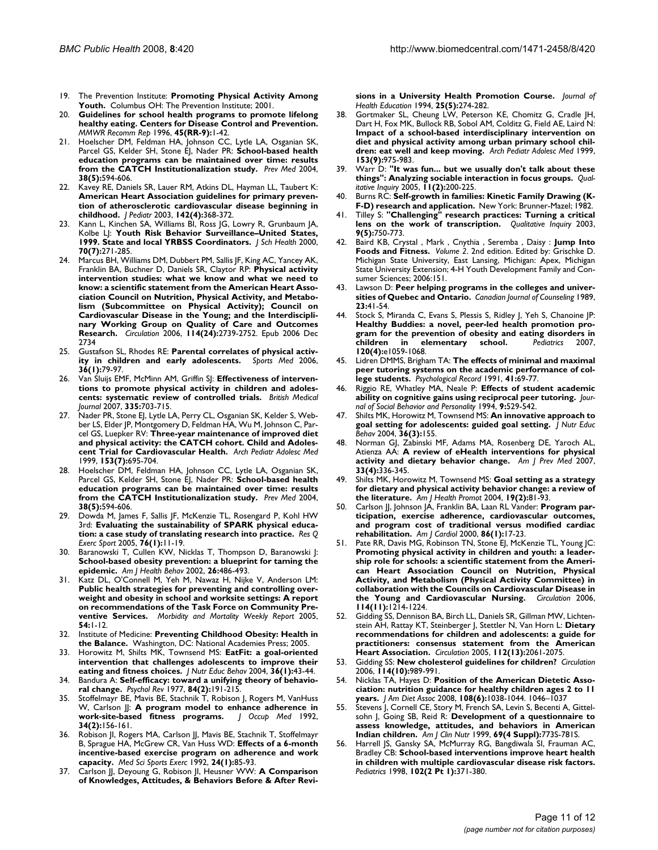19. The Prevention Institute: **Promoting Physical Activity Among** Youth. Columbus OH: The Prevention Institute; 2001

20. **Guidelines for school health programs to promote lifelong healthy eating. Centers for Disease Control and Prevention.** *MMWR Recomm Rep* 1996, **45(RR-9):**1-42.

21. Hoelscher DM, Feldman HA, Johnson CC, Lytle LA, Osganian SK, Parcel GS, Kelder SH, Stone EJ, Nader PR: **[School-based health](http://www.ncbi.nlm.nih.gov/entrez/query.fcgi?cmd=Retrieve&db=PubMed&dopt=Abstract&list_uids=15066362) [education programs can be maintained over time: results](http://www.ncbi.nlm.nih.gov/entrez/query.fcgi?cmd=Retrieve&db=PubMed&dopt=Abstract&list_uids=15066362) [from the CATCH Institutionalization study.](http://www.ncbi.nlm.nih.gov/entrez/query.fcgi?cmd=Retrieve&db=PubMed&dopt=Abstract&list_uids=15066362)** *Prev Med* 2004, **38(5):**594-606.

22. Kavey RE, Daniels SR, Lauer RM, Atkins DL, Hayman LL, Taubert K: **[American Heart Association guidelines for primary preven](http://www.ncbi.nlm.nih.gov/entrez/query.fcgi?cmd=Retrieve&db=PubMed&dopt=Abstract&list_uids=12712052)tion of atherosclerotic cardiovascular disease beginning in [childhood.](http://www.ncbi.nlm.nih.gov/entrez/query.fcgi?cmd=Retrieve&db=PubMed&dopt=Abstract&list_uids=12712052)** *J Pediatr* 2003, **142(4):**368-372.

23. Kann L, Kinchen SA, Williams BI, Ross JG, Lowry R, Grunbaum JA, Kolbe LJ: **[Youth Risk Behavior Surveillance–United States,](http://www.ncbi.nlm.nih.gov/entrez/query.fcgi?cmd=Retrieve&db=PubMed&dopt=Abstract&list_uids=10981282) [1999. State and local YRBSS Coordinators.](http://www.ncbi.nlm.nih.gov/entrez/query.fcgi?cmd=Retrieve&db=PubMed&dopt=Abstract&list_uids=10981282)** *J Sch Health* 2000, **70(7):**271-285.

24. Marcus BH, Williams DM, Dubbert PM, Sallis JF, King AC, Yancey AK, Franklin BA, Buchner D, Daniels SR, Claytor RP: **[Physical activity](http://www.ncbi.nlm.nih.gov/entrez/query.fcgi?cmd=Retrieve&db=PubMed&dopt=Abstract&list_uids=17145995) [intervention studies: what we know and what we need to](http://www.ncbi.nlm.nih.gov/entrez/query.fcgi?cmd=Retrieve&db=PubMed&dopt=Abstract&list_uids=17145995) know: a scientific statement from the American Heart Association Council on Nutrition, Physical Activity, and Metabolism (Subcommittee on Physical Activity); Council on Cardiovascular Disease in the Young; and the Interdisciplinary Working Group on Quality of Care and Outcomes [Research.](http://www.ncbi.nlm.nih.gov/entrez/query.fcgi?cmd=Retrieve&db=PubMed&dopt=Abstract&list_uids=17145995)** *Circulation* 2006, **114(24):**2739-2752. Epub 2006 Dec 2734

25. Gustafson SL, Rhodes RE: **[Parental correlates of physical activ](http://www.ncbi.nlm.nih.gov/entrez/query.fcgi?cmd=Retrieve&db=PubMed&dopt=Abstract&list_uids=16445312)[ity in children and early adolescents.](http://www.ncbi.nlm.nih.gov/entrez/query.fcgi?cmd=Retrieve&db=PubMed&dopt=Abstract&list_uids=16445312)** *Sports Med* 2006, **36(1):**79-97.

26. Van Sluijs EMF, McMinn AM, Griffin SJ: **[Effectiveness of interven](http://www.ncbi.nlm.nih.gov/entrez/query.fcgi?cmd=Retrieve&db=PubMed&dopt=Abstract&list_uids=17884863)[tions to promote physical activity in children and adoles](http://www.ncbi.nlm.nih.gov/entrez/query.fcgi?cmd=Retrieve&db=PubMed&dopt=Abstract&list_uids=17884863)[cents: systematic review of controlled trials.](http://www.ncbi.nlm.nih.gov/entrez/query.fcgi?cmd=Retrieve&db=PubMed&dopt=Abstract&list_uids=17884863)** *British Medical Journal* 2007, **335:**703-715.

27. Nader PR, Stone EJ, Lytle LA, Perry CL, Osganian SK, Kelder S, Webber LS, Elder JP, Montgomery D, Feldman HA, Wu M, Johnson C, Parcel GS, Luepker RV: **[Three-year maintenance of improved diet](http://www.ncbi.nlm.nih.gov/entrez/query.fcgi?cmd=Retrieve&db=PubMed&dopt=Abstract&list_uids=10401802) [and physical activity: the CATCH cohort. Child and Adoles](http://www.ncbi.nlm.nih.gov/entrez/query.fcgi?cmd=Retrieve&db=PubMed&dopt=Abstract&list_uids=10401802)[cent Trial for Cardiovascular Health.](http://www.ncbi.nlm.nih.gov/entrez/query.fcgi?cmd=Retrieve&db=PubMed&dopt=Abstract&list_uids=10401802)** *Arch Pediatr Adolesc Med* 1999, **153(7):**695-704.

28. Hoelscher DM, Feldman HA, Johnson CC, Lytle LA, Osganian SK, Parcel GS, Kelder SH, Stone EJ, Nader PR: **[School-based health](http://www.ncbi.nlm.nih.gov/entrez/query.fcgi?cmd=Retrieve&db=PubMed&dopt=Abstract&list_uids=15066362) [education programs can be maintained over time: results](http://www.ncbi.nlm.nih.gov/entrez/query.fcgi?cmd=Retrieve&db=PubMed&dopt=Abstract&list_uids=15066362) [from the CATCH Institutionalization study.](http://www.ncbi.nlm.nih.gov/entrez/query.fcgi?cmd=Retrieve&db=PubMed&dopt=Abstract&list_uids=15066362)** *Prev Med* 2004, **38(5):**594-606.

29. Dowda M, James F, Sallis JF, McKenzie TL, Rosengard P, Kohl HW 3rd: **[Evaluating the sustainability of SPARK physical educa](http://www.ncbi.nlm.nih.gov/entrez/query.fcgi?cmd=Retrieve&db=PubMed&dopt=Abstract&list_uids=15810766)[tion: a case study of translating research into practice.](http://www.ncbi.nlm.nih.gov/entrez/query.fcgi?cmd=Retrieve&db=PubMed&dopt=Abstract&list_uids=15810766)** *Res Q Exerc Sport* 2005, **76(1):**11-19.

30. Baranowski T, Cullen KW, Nicklas T, Thompson D, Baranowski J: **[School-based obesity prevention: a blueprint for taming the](http://www.ncbi.nlm.nih.gov/entrez/query.fcgi?cmd=Retrieve&db=PubMed&dopt=Abstract&list_uids=12437023) [epidemic.](http://www.ncbi.nlm.nih.gov/entrez/query.fcgi?cmd=Retrieve&db=PubMed&dopt=Abstract&list_uids=12437023)** *Am J Health Behav* 2002, **26:**486-493.

Katz DL, O'Connell M, Yeh M, Nawaz H, Nijke V, Anderson LM: **Public health strategies for preventing and controlling overweight and obesity in school and worksite settings: A report on recommendations of the Task Force on Community Preventive Services.** *Morbidity and Mortality Weekly Report* 2005, **54:**1-12.

32. Institute of Medicine: **Preventing Childhood Obesity: Health in the Balance.** Washington, DC: National Academies Press; 2005.

33. Horowitz M, Shilts MK, Townsend MS: **[EatFit: a goal-oriented](http://www.ncbi.nlm.nih.gov/entrez/query.fcgi?cmd=Retrieve&db=PubMed&dopt=Abstract&list_uids=14756982) [intervention that challenges adolescents to improve their](http://www.ncbi.nlm.nih.gov/entrez/query.fcgi?cmd=Retrieve&db=PubMed&dopt=Abstract&list_uids=14756982) [eating and fitness choices.](http://www.ncbi.nlm.nih.gov/entrez/query.fcgi?cmd=Retrieve&db=PubMed&dopt=Abstract&list_uids=14756982)** *J Nutr Educ Behav* 2004, **36(1):**43-44.

34. Bandura A: **[Self-efficacy: toward a unifying theory of behavio](http://www.ncbi.nlm.nih.gov/entrez/query.fcgi?cmd=Retrieve&db=PubMed&dopt=Abstract&list_uids=847061)[ral change.](http://www.ncbi.nlm.nih.gov/entrez/query.fcgi?cmd=Retrieve&db=PubMed&dopt=Abstract&list_uids=847061)** *Psychol Rev* 1977, **84(2):**191-215.

35. Stoffelmayr BE, Mavis BE, Stachnik T, Robison J, Rogers M, VanHuss W, Carlson JJ: [A program model to enhance adherence in](http://www.ncbi.nlm.nih.gov/entrez/query.fcgi?cmd=Retrieve&db=PubMed&dopt=Abstract&list_uids=1597770) **[work-site-based fitness programs.](http://www.ncbi.nlm.nih.gov/entrez/query.fcgi?cmd=Retrieve&db=PubMed&dopt=Abstract&list_uids=1597770)** *J Occup Med* 1992, **34(2):**156-161.

36. Robison JI, Rogers MA, Carlson JJ, Mavis BE, Stachnik T, Stoffelmayr B, Sprague HA, McGrew CR, Van Huss WD: **[Effects of a 6-month](http://www.ncbi.nlm.nih.gov/entrez/query.fcgi?cmd=Retrieve&db=PubMed&dopt=Abstract&list_uids=1549001) [incentive-based exercise program on adherence and work](http://www.ncbi.nlm.nih.gov/entrez/query.fcgi?cmd=Retrieve&db=PubMed&dopt=Abstract&list_uids=1549001) [capacity.](http://www.ncbi.nlm.nih.gov/entrez/query.fcgi?cmd=Retrieve&db=PubMed&dopt=Abstract&list_uids=1549001)** *Med Sci Sports Exerc* 1992, **24(1):**85-93.

37. Carlson JJ, Deyoung G, Robison JI, Heusner WW: **A Comparison of Knowledges, Attitudes, & Behaviors Before & After Revi-** **sions in a University Health Promotion Course.** *Journal of Health Education* 1994, **25(5):**274-282.

38. Gortmaker SL, Cheung LW, Peterson KE, Chomitz G, Cradle JH, Dart H, Fox MK, Bullock RB, Sobol AM, Colditz G, Field AE, Laird N: **[Impact of a school-based interdisciplinary intervention on](http://www.ncbi.nlm.nih.gov/entrez/query.fcgi?cmd=Retrieve&db=PubMed&dopt=Abstract&list_uids=10482216) diet and physical activity among urban primary school chil[dren: eat well and keep moving.](http://www.ncbi.nlm.nih.gov/entrez/query.fcgi?cmd=Retrieve&db=PubMed&dopt=Abstract&list_uids=10482216)** *Arch Pediatr Adolesc Med* 1999, **153(9):**975-983.

39. Warr D: **"It was fun... but we usually don't talk about these things": Analyzing sociable interaction in focus groups.** *Qualitative Inquiry* 2005, **11(2):**200-225.

40. Burns RC: **Self-growth in families: Kinetic Family Drawing (K-F-D) research and application.** New York: Brunner-Mazel; 1982.

41. Tilley S: **"Challenging" research practices: Turning a critical lens on the work of transcription.** *Qualitative Inquiry* 2003, **9(5):**750-773.

42. Baird KB, Crystal , Mark , Cnythia , Seremba , Daisy : **Jump Into Foods and Fitness.** *Volume 2*. 2nd edition. Edited by: Grischke D. Michigan State University, East Lansing, Michigan: Apex, Michigan State University Extension; 4-H Youth Development Family and Consumer Sciences; 2006:151.

43. Lawson D: **Peer helping programs in the colleges and universities of Quebec and Ontario.** *Canadian Journal of Counseling* 1989, **23:**41-54.

Stock S, Miranda C, Evans S, Plessis S, Ridley J, Yeh S, Chanoine JP: **[Healthy Buddies: a novel, peer-led health promotion pro](http://www.ncbi.nlm.nih.gov/entrez/query.fcgi?cmd=Retrieve&db=PubMed&dopt=Abstract&list_uids=17908726)gram for the prevention of obesity and eating disorders in**  $chi$ <sup>2</sup> [children in elementary school.](http://www.ncbi.nlm.nih.gov/entrez/query.fcgi?cmd=Retrieve&db=PubMed&dopt=Abstract&list_uids=17908726) **120(4):**e1059-1068.

45. Lidren DMMS, Brigham TA: **The effects of minimal and maximal peer tutoring systems on the academic performance of college students.** *Psychological Record* 1991, **41:**69-77.

46. Riggio RE, Whatley MA, Neale P: **Effects of student academic ability on cognitive gains using reciprocal peer tutoring.** *Journal of Social Behavior and Personality* 1994, **9:**529-542.

47. Shilts MK, Horowitz M, Townsend MS: **[An innovative approach to](http://www.ncbi.nlm.nih.gov/entrez/query.fcgi?cmd=Retrieve&db=PubMed&dopt=Abstract&list_uids=15202992) [goal setting for adolescents: guided goal setting.](http://www.ncbi.nlm.nih.gov/entrez/query.fcgi?cmd=Retrieve&db=PubMed&dopt=Abstract&list_uids=15202992)** *J Nutr Educ Behav* 2004, **36(3):**155.

48. Norman GJ, Zabinski MF, Adams MA, Rosenberg DE, Yaroch AL, Atienza AA: **[A review of eHealth interventions for physical](http://www.ncbi.nlm.nih.gov/entrez/query.fcgi?cmd=Retrieve&db=PubMed&dopt=Abstract&list_uids=17888860) [activity and dietary behavior change.](http://www.ncbi.nlm.nih.gov/entrez/query.fcgi?cmd=Retrieve&db=PubMed&dopt=Abstract&list_uids=17888860)** *Am J Prev Med* 2007, **33(4):**336-345.

49. Shilts MK, Horowitz M, Townsend MS: **[Goal setting as a strategy](http://www.ncbi.nlm.nih.gov/entrez/query.fcgi?cmd=Retrieve&db=PubMed&dopt=Abstract&list_uids=15559708) [for dietary and physical activity behavior change: a review of](http://www.ncbi.nlm.nih.gov/entrez/query.fcgi?cmd=Retrieve&db=PubMed&dopt=Abstract&list_uids=15559708) [the literature.](http://www.ncbi.nlm.nih.gov/entrez/query.fcgi?cmd=Retrieve&db=PubMed&dopt=Abstract&list_uids=15559708)** *Am J Health Promot* 2004, **19(2):**81-93.

Carlson JJ, Johnson JA, Franklin BA, Laan RL Vander: [Program par](http://www.ncbi.nlm.nih.gov/entrez/query.fcgi?cmd=Retrieve&db=PubMed&dopt=Abstract&list_uids=10867086)**[ticipation, exercise adherence, cardiovascular outcomes,](http://www.ncbi.nlm.nih.gov/entrez/query.fcgi?cmd=Retrieve&db=PubMed&dopt=Abstract&list_uids=10867086) and program cost of traditional versus modified cardiac [rehabilitation.](http://www.ncbi.nlm.nih.gov/entrez/query.fcgi?cmd=Retrieve&db=PubMed&dopt=Abstract&list_uids=10867086)** *Am J Cardiol* 2000, **86(1):**17-23.

Pate RR, Davis MG, Robinson TN, Stone EJ, McKenzie TL, Young JC: **Promoting physical activity in children and youth: a leader[ship role for schools: a scientific statement from the Ameri](http://www.ncbi.nlm.nih.gov/entrez/query.fcgi?cmd=Retrieve&db=PubMed&dopt=Abstract&list_uids=16908770)can Heart Association Council on Nutrition, Physical Activity, and Metabolism (Physical Activity Committee) in collaboration with the Councils on Cardiovascular Disease in [the Young and Cardiovascular Nursing.](http://www.ncbi.nlm.nih.gov/entrez/query.fcgi?cmd=Retrieve&db=PubMed&dopt=Abstract&list_uids=16908770)** *Circulation* 2006, **114(11):**1214-1224.

52. Gidding SS, Dennison BA, Birch LL, Daniels SR, Gillman MW, Lichtenstein AH, Rattay KT, Steinberger J, Stettler N, Van Horn L: **[Dietary](http://www.ncbi.nlm.nih.gov/entrez/query.fcgi?cmd=Retrieve&db=PubMed&dopt=Abstract&list_uids=16186441) [recommendations for children and adolescents: a guide for](http://www.ncbi.nlm.nih.gov/entrez/query.fcgi?cmd=Retrieve&db=PubMed&dopt=Abstract&list_uids=16186441) practitioners: consensus statement from the American [Heart Association.](http://www.ncbi.nlm.nih.gov/entrez/query.fcgi?cmd=Retrieve&db=PubMed&dopt=Abstract&list_uids=16186441)** *Circulation* 2005, **112(13):**2061-2075.

53. Gidding SS: **[New cholesterol guidelines for children?](http://www.ncbi.nlm.nih.gov/entrez/query.fcgi?cmd=Retrieve&db=PubMed&dopt=Abstract&list_uids=16952994)** *Circulation* 2006, **114(10):**989-991.

54. Nicklas TA, Hayes D: **[Position of the American Dietetic Asso](http://www.ncbi.nlm.nih.gov/entrez/query.fcgi?cmd=Retrieve&db=PubMed&dopt=Abstract&list_uids=18564454)[ciation: nutrition guidance for healthy children ages 2 to 11](http://www.ncbi.nlm.nih.gov/entrez/query.fcgi?cmd=Retrieve&db=PubMed&dopt=Abstract&list_uids=18564454) [years.](http://www.ncbi.nlm.nih.gov/entrez/query.fcgi?cmd=Retrieve&db=PubMed&dopt=Abstract&list_uids=18564454)** *J Am Diet Assoc* 2008, **108(6):**1038-1044. 1046–1037

Stevens J, Cornell CE, Story M, French SA, Levin S, Becenti A, Gittelsohn J, Going SB, Reid R: **[Development of a questionnaire to](http://www.ncbi.nlm.nih.gov/entrez/query.fcgi?cmd=Retrieve&db=PubMed&dopt=Abstract&list_uids=10195602) [assess knowledge, attitudes, and behaviors in American](http://www.ncbi.nlm.nih.gov/entrez/query.fcgi?cmd=Retrieve&db=PubMed&dopt=Abstract&list_uids=10195602) [Indian children.](http://www.ncbi.nlm.nih.gov/entrez/query.fcgi?cmd=Retrieve&db=PubMed&dopt=Abstract&list_uids=10195602)** *Am J Clin Nutr* 1999, **69(4 Suppl):**773S-781S.

56. Harrell JS, Gansky SA, McMurray RG, Bangdiwala SI, Frauman AC, Bradley CB: **[School-based interventions improve heart health](http://www.ncbi.nlm.nih.gov/entrez/query.fcgi?cmd=Retrieve&db=PubMed&dopt=Abstract&list_uids=9685441) [in children with multiple cardiovascular disease risk factors.](http://www.ncbi.nlm.nih.gov/entrez/query.fcgi?cmd=Retrieve&db=PubMed&dopt=Abstract&list_uids=9685441)** *Pediatrics* 1998, **102(2 Pt 1):**371-380.